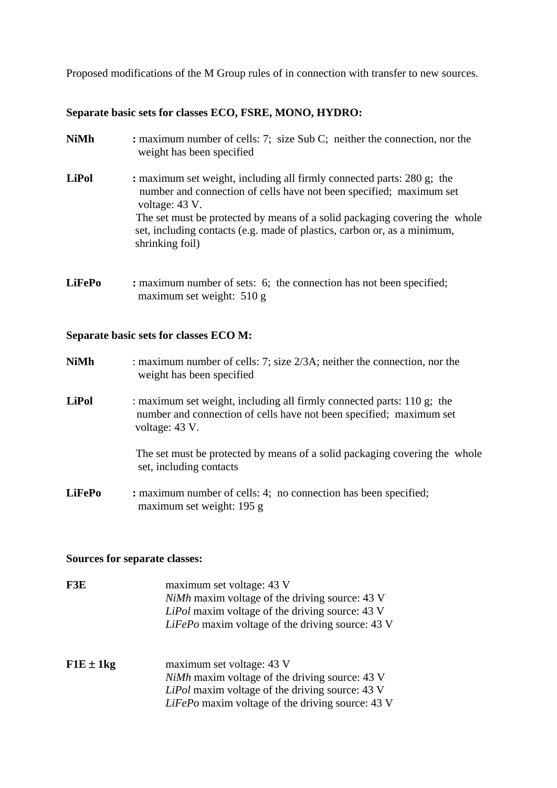Proposed modifications of the M Group rules of in connection with transfer to new sources.

## **Separate basic sets for classes ECO, FSRE, MONO, HYDRO:**

- **NiMh :** maximum number of cells: 7; size Sub C; neither the connection, nor the weight has been specified
- **LiPol** : maximum set weight, including all firmly connected parts: 280 g; the number and connection of cells have not been specified; maximum set voltage: 43 V. The set must be protected by means of a solid packaging covering the whole set, including contacts (e.g. made of plastics, carbon or, as a minimum, shrinking foil)
- **LiFePo** : maximum number of sets: 6; the connection has not been specified; maximum set weight: 510 g

## **Separate basic sets for classes ECO M:**

| <b>NiMh</b>   | : maximum number of cells: 7; size $2/3A$ ; neither the connection, nor the<br>weight has been specified                                                        |  |
|---------------|-----------------------------------------------------------------------------------------------------------------------------------------------------------------|--|
| <b>LiPol</b>  | : maximum set weight, including all firmly connected parts: 110 g; the<br>number and connection of cells have not been specified; maximum set<br>voltage: 43 V. |  |
|               | The set must be protected by means of a solid packaging covering the whole<br>set, including contacts                                                           |  |
| <b>LiFePo</b> | : maximum number of cells: 4; no connection has been specified;<br>maximum set weight: 195 g                                                                    |  |

## **Sources for separate classes:**

| F3E           | maximum set voltage: 43 V<br><i>NiMh</i> maxim voltage of the driving source: 43 V<br>LiPol maxim voltage of the driving source: 43 V<br>LiFePo maxim voltage of the driving source: 43 V |
|---------------|-------------------------------------------------------------------------------------------------------------------------------------------------------------------------------------------|
| $F1E \pm 1kg$ | maximum set voltage: 43 V<br><i>NiMh</i> maxim voltage of the driving source: 43 V<br>LiPol maxim voltage of the driving source: 43 V<br>LiFePo maxim voltage of the driving source: 43 V |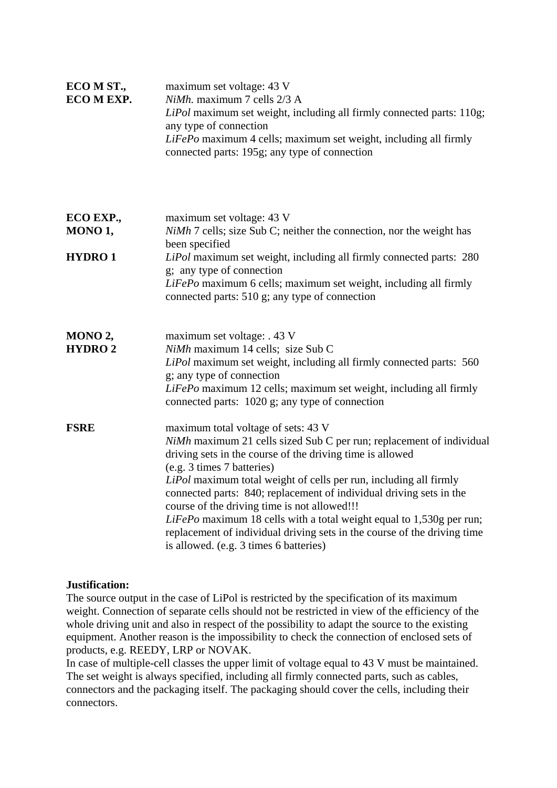| ECO M ST.,<br>ECO M EXP. | maximum set voltage: 43 V<br>NiMh. maximum 7 cells 2/3 A<br>LiPol maximum set weight, including all firmly connected parts: 110g;<br>any type of connection<br>LiFePo maximum 4 cells; maximum set weight, including all firmly<br>connected parts: 195g; any type of connection                                                                                                                                                                                                                                                                                                                 |
|--------------------------|--------------------------------------------------------------------------------------------------------------------------------------------------------------------------------------------------------------------------------------------------------------------------------------------------------------------------------------------------------------------------------------------------------------------------------------------------------------------------------------------------------------------------------------------------------------------------------------------------|
| ECO EXP.,<br>MONO 1,     | maximum set voltage: 43 V<br>NiMh 7 cells; size Sub C; neither the connection, nor the weight has<br>been specified                                                                                                                                                                                                                                                                                                                                                                                                                                                                              |
| <b>HYDRO1</b>            | LiPol maximum set weight, including all firmly connected parts: 280<br>g; any type of connection<br>LiFePo maximum 6 cells; maximum set weight, including all firmly<br>connected parts: 510 g; any type of connection                                                                                                                                                                                                                                                                                                                                                                           |
| MONO 2,<br><b>HYDRO2</b> | maximum set voltage: . 43 V<br>NiMh maximum 14 cells; size Sub C<br>LiPol maximum set weight, including all firmly connected parts: 560<br>g; any type of connection<br>LiFePo maximum 12 cells; maximum set weight, including all firmly<br>connected parts: 1020 g; any type of connection                                                                                                                                                                                                                                                                                                     |
| <b>FSRE</b>              | maximum total voltage of sets: 43 V<br>NiMh maximum 21 cells sized Sub C per run; replacement of individual<br>driving sets in the course of the driving time is allowed<br>(e.g. 3 times 7 batteries)<br>LiPol maximum total weight of cells per run, including all firmly<br>connected parts: 840; replacement of individual driving sets in the<br>course of the driving time is not allowed!!!<br>LiFePo maximum 18 cells with a total weight equal to 1,530g per run;<br>replacement of individual driving sets in the course of the driving time<br>is allowed. (e.g. 3 times 6 batteries) |

## **Justification:**

The source output in the case of LiPol is restricted by the specification of its maximum weight. Connection of separate cells should not be restricted in view of the efficiency of the whole driving unit and also in respect of the possibility to adapt the source to the existing equipment. Another reason is the impossibility to check the connection of enclosed sets of products, e.g. REEDY, LRP or NOVAK.

In case of multiple-cell classes the upper limit of voltage equal to 43 V must be maintained. The set weight is always specified, including all firmly connected parts, such as cables, connectors and the packaging itself. The packaging should cover the cells, including their connectors.